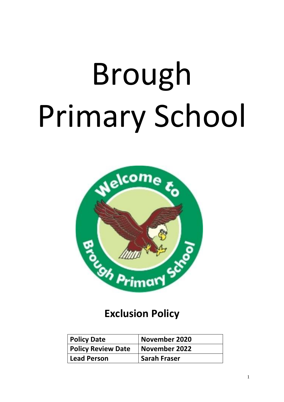# Brough Primary School



# **Exclusion Policy**

| <b>Policy Date</b>        | November 2020       |
|---------------------------|---------------------|
| <b>Policy Review Date</b> | November 2022       |
| Lead Person               | <b>Sarah Fraser</b> |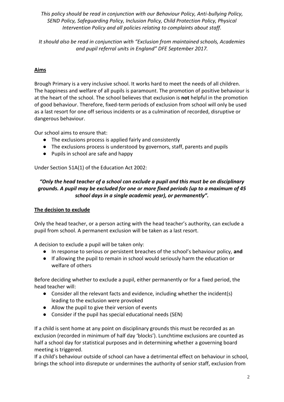*This policy should be read in conjunction with our Behaviour Policy, Anti-bullying Policy, SEND Policy, Safeguarding Policy, Inclusion Policy, Child Protection Policy, Physical Intervention Policy and all policies relating to complaints about staff.*

*It should also be read in conjunction with "Exclusion from maintained schools, Academies and pupil referral units in England" DFE September 2017.*

# **Aims**

Brough Primary is a very inclusive school. It works hard to meet the needs of all children. The happiness and welfare of all pupils is paramount. The promotion of positive behaviour is at the heart of the school. The school believes that exclusion is **not** helpful in the promotion of good behaviour. Therefore, fixed-term periods of exclusion from school will only be used as a last resort for one off serious incidents or as a culmination of recorded, disruptive or dangerous behaviour.

Our school aims to ensure that:

- The exclusions process is applied fairly and consistently
- The exclusions process is understood by governors, staff, parents and pupils
- Pupils in school are safe and happy

Under Section 51A(1) of the Education Act 2002:

#### *"Only the head teacher of a school can exclude a pupil and this must be on disciplinary grounds. A pupil may be excluded for one or more fixed periods (up to a maximum of 45 school days in a single academic year), or permanently".*

#### **The decision to exclude**

Only the head teacher, or a person acting with the head teacher's authority, can exclude a pupil from school. A permanent exclusion will be taken as a last resort.

A decision to exclude a pupil will be taken only:

- In response to serious or persistent breaches of the school's behaviour policy, **and**
- If allowing the pupil to remain in school would seriously harm the education or welfare of others

Before deciding whether to exclude a pupil, either permanently or for a fixed period, the head teacher will:

- Consider all the relevant facts and evidence, including whether the incident(s) leading to the exclusion were provoked
- Allow the pupil to give their version of events
- Consider if the pupil has special educational needs (SEN)

If a child is sent home at any point on disciplinary grounds this must be recorded as an exclusion (recorded in minimum of half day 'blocks'). Lunchtime exclusions are counted as half a school day for statistical purposes and in determining whether a governing board meeting is triggered.

If a child's behaviour outside of school can have a detrimental effect on behaviour in school, brings the school into disrepute or undermines the authority of senior staff, exclusion from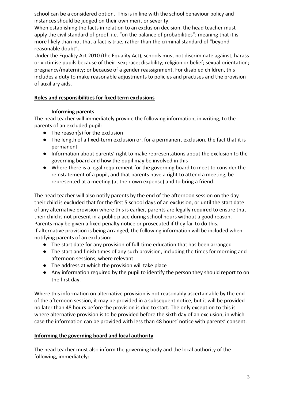school can be a considered option. This is in line with the school behaviour policy and instances should be judged on their own merit or severity.

When establishing the facts in relation to an exclusion decision, the head teacher must apply the civil standard of proof, i.e. "on the balance of probabilities"; meaning that it is more likely than not that a fact is true, rather than the criminal standard of "beyond reasonable doubt".

Under the Equality Act 2010 (the Equality Act), schools must not discriminate against, harass or victimise pupils because of their: sex; race; disability; religion or belief; sexual orientation; pregnancy/maternity; or because of a gender reassignment. For disabled children, this includes a duty to make reasonable adjustments to policies and practises and the provision of auxiliary aids.

## **Roles and responsibilities for fixed term exclusions**

#### - **Informing parents**

The head teacher will immediately provide the following information, in writing, to the parents of an excluded pupil:

- The reason(s) for the exclusion
- The length of a fixed-term exclusion or, for a permanent exclusion, the fact that it is permanent
- Information about parents' right to make representations about the exclusion to the governing board and how the pupil may be involved in this
- Where there is a legal requirement for the governing board to meet to consider the reinstatement of a pupil, and that parents have a right to attend a meeting, be represented at a meeting (at their own expense) and to bring a friend.

The head teacher will also notify parents by the end of the afternoon session on the day their child is excluded that for the first 5 school days of an exclusion, or until the start date of any alternative provision where this is earlier, parents are legally required to ensure that their child is not present in a public place during school hours without a good reason. Parents may be given a fixed penalty notice or prosecuted if they fail to do this. If alternative provision is being arranged, the following information will be included when notifying parents of an exclusion:

- The start date for any provision of full-time education that has been arranged
- The start and finish times of any such provision, including the times for morning and afternoon sessions, where relevant
- The address at which the provision will take place
- Any information required by the pupil to identify the person they should report to on the first day.

Where this information on alternative provision is not reasonably ascertainable by the end of the afternoon session, it may be provided in a subsequent notice, but it will be provided no later than 48 hours before the provision is due to start. The only exception to this is where alternative provision is to be provided before the sixth day of an exclusion, in which case the information can be provided with less than 48 hours' notice with parents' consent.

#### **Informing the governing board and local authority**

The head teacher must also inform the governing body and the local authority of the following, immediately: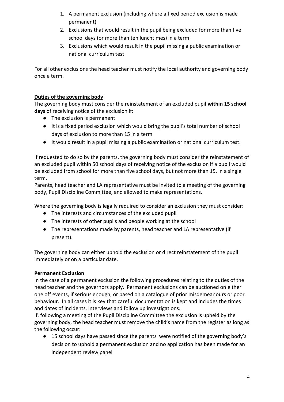- 1. A permanent exclusion (including where a fixed period exclusion is made permanent)
- 2. Exclusions that would result in the pupil being excluded for more than five school days (or more than ten lunchtimes) in a term
- 3. Exclusions which would result in the pupil missing a public examination or national curriculum test.

For all other exclusions the head teacher must notify the local authority and governing body once a term.

# **Duties of the governing body**

The governing body must consider the reinstatement of an excluded pupil **within 15 school days** of receiving notice of the exclusion if:

- The exclusion is permanent
- It is a fixed period exclusion which would bring the pupil's total number of school days of exclusion to more than 15 in a term
- It would result in a pupil missing a public examination or national curriculum test.

If requested to do so by the parents, the governing body must consider the reinstatement of an excluded pupil within 50 school days of receiving notice of the exclusion if a pupil would be excluded from school for more than five school days, but not more than 15, in a single term.

Parents, head teacher and LA representative must be invited to a meeting of the governing body, Pupil Discipline Committee, and allowed to make representations.

Where the governing body is legally required to consider an exclusion they must consider:

- The interests and circumstances of the excluded pupil
- The interests of other pupils and people working at the school
- The representations made by parents, head teacher and LA representative (if present).

The governing body can either uphold the exclusion or direct reinstatement of the pupil immediately or on a particular date.

# **Permanent Exclusion**

In the case of a permanent exclusion the following procedures relating to the duties of the head teacher and the governors apply. Permanent exclusions can be auctioned on either one off events, if serious enough, or based on a catalogue of prior misdemeanours or poor behaviour. In all cases it is key that careful documentation is kept and includes the times and dates of incidents, interviews and follow up investigations.

If, following a meeting of the Pupil Discipline Committee the exclusion is upheld by the governing body, the head teacher must remove the child's name from the register as long as the following occur:

15 school days have passed since the parents were notified of the governing body's decision to uphold a permanent exclusion and no application has been made for an independent review panel